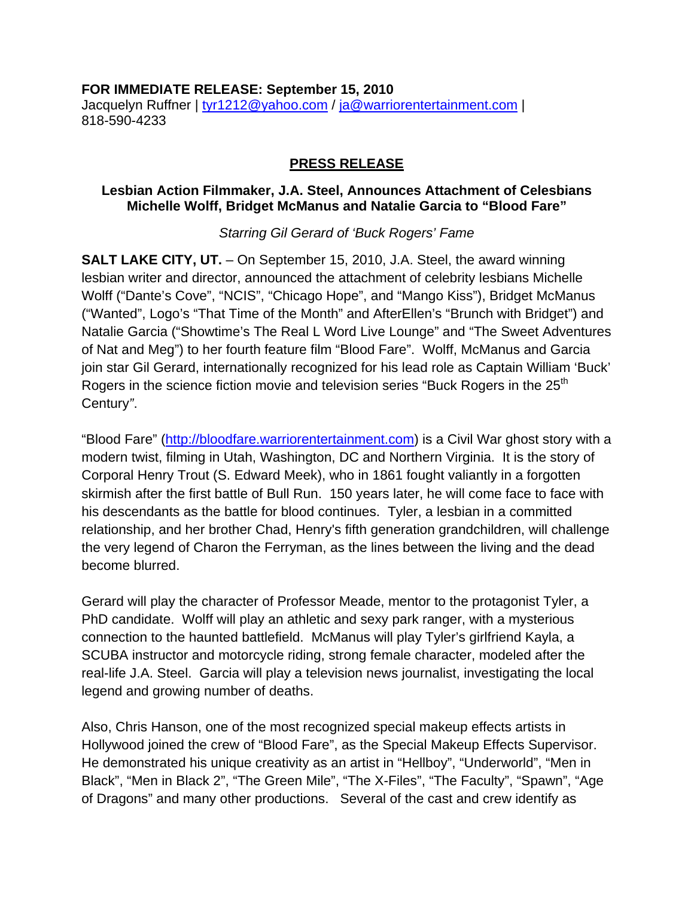#### **FOR IMMEDIATE RELEASE: September 15, 2010**

Jacquelyn Ruffner | [tyr1212@yahoo.com](mailto:tyr1212@yahoo.com) / [ja@warriorentertainment.com](mailto:ja@warriorentertainment.com) | 818-590-4233

### **PRESS RELEASE**

#### **Lesbian Action Filmmaker, J.A. Steel, Announces Attachment of Celesbians Michelle Wolff, Bridget McManus and Natalie Garcia to "Blood Fare"**

### *Starring Gil Gerard of 'Buck Rogers' Fame*

**SALT LAKE CITY, UT.** – On September 15, 2010, J.A. Steel, the award winning lesbian writer and director, announced the attachment of celebrity lesbians Michelle Wolff ("Dante's Cove", "NCIS", "Chicago Hope", and "Mango Kiss"), Bridget McManus ("Wanted", Logo's "That Time of the Month" and AfterEllen's "Brunch with Bridget") and Natalie Garcia ("Showtime's The Real L Word Live Lounge" and "The Sweet Adventures of Nat and Meg") to her fourth feature film "Blood Fare". Wolff, McManus and Garcia join star Gil Gerard, internationally recognized for his lead role as Captain William 'Buck' Rogers in the science fiction movie and television series "Buck Rogers in the 25<sup>th</sup> Century*"*.

"Blood Fare" [\(http://bloodfare.warriorentertainment.com\)](http://bloodfare.warriorentertainment.com/) is a Civil War ghost story with a modern twist, filming in Utah, Washington, DC and Northern Virginia. It is the story of Corporal Henry Trout (S. Edward Meek), who in 1861 fought valiantly in a forgotten skirmish after the first battle of Bull Run. 150 years later, he will come face to face with his descendants as the battle for blood continues. Tyler, a lesbian in a committed relationship, and her brother Chad, Henry's fifth generation grandchildren, will challenge the very legend of Charon the Ferryman, as the lines between the living and the dead become blurred.

Gerard will play the character of Professor Meade, mentor to the protagonist Tyler, a PhD candidate. Wolff will play an athletic and sexy park ranger, with a mysterious connection to the haunted battlefield. McManus will play Tyler's girlfriend Kayla, a SCUBA instructor and motorcycle riding, strong female character, modeled after the real-life J.A. Steel. Garcia will play a television news journalist, investigating the local legend and growing number of deaths.

Also, Chris Hanson, one of the most recognized special makeup effects artists in Hollywood joined the crew of "Blood Fare", as the Special Makeup Effects Supervisor. He demonstrated his unique creativity as an artist in "Hellboy", "Underworld", "Men in Black", "Men in Black 2", "The Green Mile", "The X-Files", "The Faculty", "Spawn", "Age of Dragons" and many other productions. Several of the cast and crew identify as